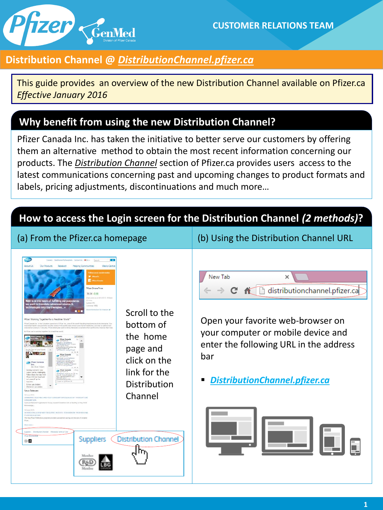

# **Distribution Channel @** *DistributionChannel.pfizer.ca*

This guide provides an overview of the new Distribution Channel available on Pfizer.ca *Effective January 2016*

### **Why benefit from using the new Distribution Channel?**

Pfizer Canada Inc. has taken the initiative to better serve our customers by offering them an alternative method to obtain the most recent information concerning our products. The *Distribution Channel* section of Pfizer.ca provides users access to the latest communications concerning past and upcoming changes to product formats and labels, pricing adjustments, discontinuations and much more…

# **How to access the Login screen for the Distribution Channel** *(2 methods)***?**

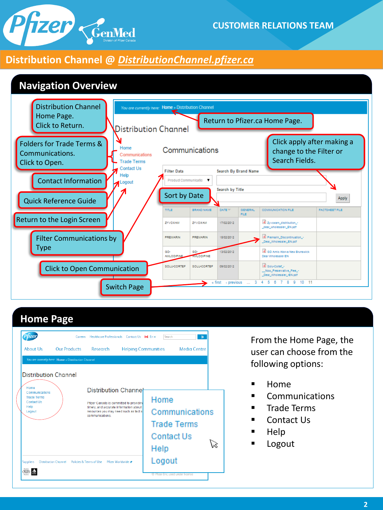# Pfizer CenMed

#### **CUSTOMER RELATIONS TEAM**

#### **Distribution Channel @** *DistributionChannel.pfizer.ca*



# **Home Page**

| <b>About Us</b>                                                      | Careers<br><b>Our Products</b>                      | Healthcare Professionals Contact Us 1+1 En v<br>Research                                                                                                     |                        | Search<br><b>Helping Communities</b>              | $\mathcal{D}$<br>Media Centre |  |
|----------------------------------------------------------------------|-----------------------------------------------------|--------------------------------------------------------------------------------------------------------------------------------------------------------------|------------------------|---------------------------------------------------|-------------------------------|--|
|                                                                      | You are currently here: Home » Distribution Channel |                                                                                                                                                              |                        |                                                   |                               |  |
| <b>Distribution Channel</b><br>Home                                  |                                                     |                                                                                                                                                              |                        |                                                   |                               |  |
| Communications<br><b>Trade Terms</b><br>Contact Us<br>Help<br>Logout |                                                     | <b>Distribution Channel</b><br>Pfizer Canada is committed to providing<br>timely, and accurate information about I<br>resources you may need such as fact st | Home<br>Communications |                                                   |                               |  |
|                                                                      |                                                     | communications                                                                                                                                               |                        | <b>Trade Terms</b><br><b>Contact Us</b><br>Help   |                               |  |
| <b>Suppliers</b>                                                     | <b>Distribution Channel</b>                         | Policies & Terms of Use Pfizer Worldwide                                                                                                                     |                        | Logout<br><b>C</b> Prizer Inc. used under license |                               |  |

From the Home Page, the user can choose from the following options:

- $\blacksquare$  Home
- Communications
- **Trade Terms**
- Contact Us
- $\blacksquare$  Help
- Logout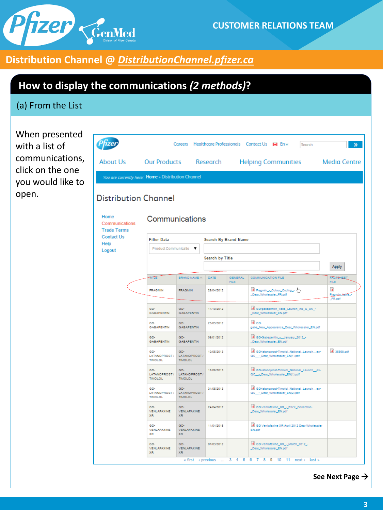

# **Distribution Channel @** *DistributionChannel.pfizer.ca*

# **How to display the communications** *(2 methods)***?**

#### (a) From the List

When presented with a list of communications, click on the one you would like to open.